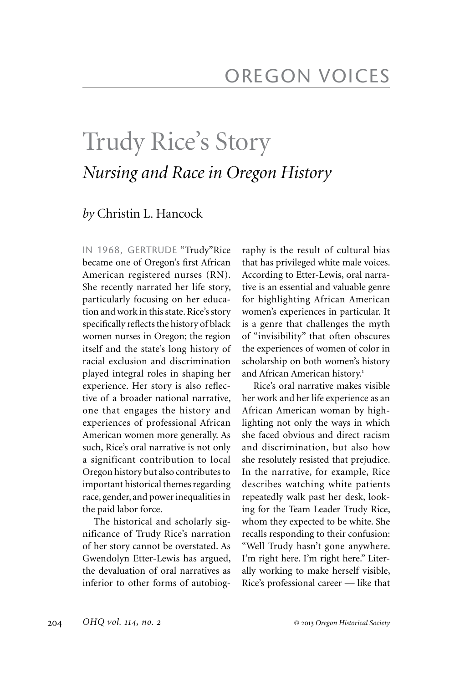# Trudy Rice's Story *Nursing and Race in Oregon History*

# *by* Christin L. Hancock

IN 1968, GERTRUDE "Trudy"Rice became one of Oregon's first African American registered nurses (RN). She recently narrated her life story, particularly focusing on her education and work in this state. Rice's story specifically reflects the history of black women nurses in Oregon; the region itself and the state's long history of racial exclusion and discrimination played integral roles in shaping her experience. Her story is also reflective of a broader national narrative, one that engages the history and experiences of professional African American women more generally. As such, Rice's oral narrative is not only a significant contribution to local Oregon history but also contributes to important historical themes regarding race, gender, and power inequalities in the paid labor force.

The historical and scholarly significance of Trudy Rice's narration of her story cannot be overstated. As Gwendolyn Etter-Lewis has argued, the devaluation of oral narratives as inferior to other forms of autobiography is the result of cultural bias that has privileged white male voices. According to Etter-Lewis, oral narrative is an essential and valuable genre for highlighting African American women's experiences in particular. It is a genre that challenges the myth of "invisibility" that often obscures the experiences of women of color in scholarship on both women's history and African American history.<sup>1</sup>

Rice's oral narrative makes visible her work and her life experience as an African American woman by highlighting not only the ways in which she faced obvious and direct racism and discrimination, but also how she resolutely resisted that prejudice. In the narrative, for example, Rice describes watching white patients repeatedly walk past her desk, looking for the Team Leader Trudy Rice, whom they expected to be white. She recalls responding to their confusion: "Well Trudy hasn't gone anywhere. I'm right here. I'm right here." Literally working to make herself visible, Rice's professional career — like that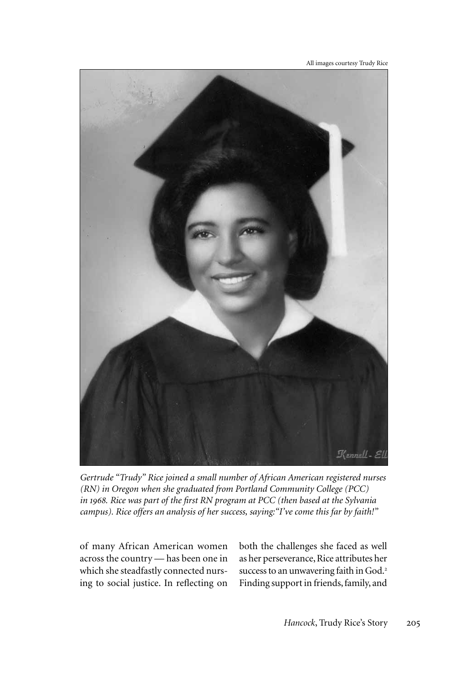All images courtesy Trudy Rice



*Gertrude "Trudy" Rice joined a small number of African American registered nurses (RN) in Oregon when she graduated from Portland Community College (PCC) in 1968. Rice was part of the first RN program at PCC (then based at the Sylvania campus). Rice offers an analysis of her success, saying:"I've come this far by faith!"*

of many African American women across the country — has been one in which she steadfastly connected nursing to social justice. In reflecting on both the challenges she faced as well as her perseverance, Rice attributes her success to an unwavering faith in God.<sup>2</sup> Finding support in friends, family, and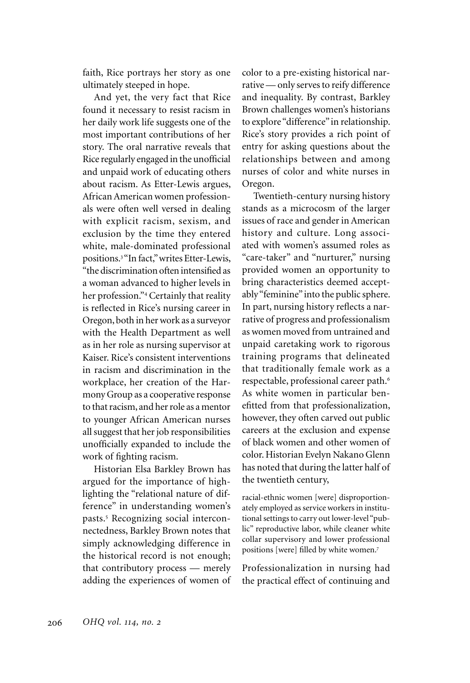faith, Rice portrays her story as one ultimately steeped in hope.

And yet, the very fact that Rice found it necessary to resist racism in her daily work life suggests one of the most important contributions of her story. The oral narrative reveals that Rice regularly engaged in the unofficial and unpaid work of educating others about racism. As Etter-Lewis argues, African American women professionals were often well versed in dealing with explicit racism, sexism, and exclusion by the time they entered white, male-dominated professional positions.<sup>3</sup> "In fact," writes Etter-Lewis, "the discrimination often intensified as a woman advanced to higher levels in her profession."<sup>4</sup> Certainly that reality is reflected in Rice's nursing career in Oregon, both in her work as a surveyor with the Health Department as well as in her role as nursing supervisor at Kaiser. Rice's consistent interventions in racism and discrimination in the workplace, her creation of the Harmony Group as a cooperative response to that racism, and her role as a mentor to younger African American nurses all suggest that her job responsibilities unofficially expanded to include the work of fighting racism.

Historian Elsa Barkley Brown has argued for the importance of highlighting the "relational nature of difference" in understanding women's pasts.<sup>5</sup> Recognizing social interconnectedness, Barkley Brown notes that simply acknowledging difference in the historical record is not enough; that contributory process — merely adding the experiences of women of

color to a pre-existing historical narrative — only serves to reify difference and inequality. By contrast, Barkley Brown challenges women's historians to explore "difference" in relationship. Rice's story provides a rich point of entry for asking questions about the relationships between and among nurses of color and white nurses in Oregon.

Twentieth-century nursing history stands as a microcosm of the larger issues of race and gender in American history and culture. Long associated with women's assumed roles as "care-taker" and "nurturer," nursing provided women an opportunity to bring characteristics deemed acceptably "feminine" into the public sphere. In part, nursing history reflects a narrative of progress and professionalism as women moved from untrained and unpaid caretaking work to rigorous training programs that delineated that traditionally female work as a respectable, professional career path.<sup>6</sup> As white women in particular benefitted from that professionalization, however, they often carved out public careers at the exclusion and expense of black women and other women of color. Historian Evelyn Nakano Glenn has noted that during the latter half of the twentieth century,

racial-ethnic women [were] disproportionately employed as service workers in institutional settings to carry out lower-level "public" reproductive labor, while cleaner white collar supervisory and lower professional positions [were] filled by white women.<sup>7</sup>

Professionalization in nursing had the practical effect of continuing and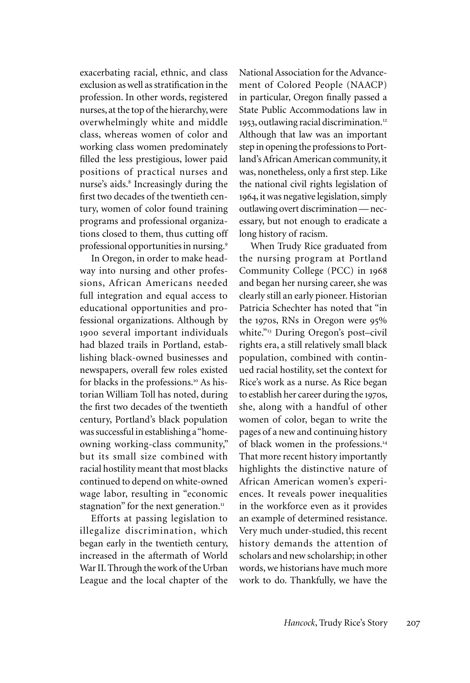exacerbating racial, ethnic, and class exclusion as well as stratification in the profession. In other words, registered nurses, at the top of the hierarchy, were overwhelmingly white and middle class, whereas women of color and working class women predominately filled the less prestigious, lower paid positions of practical nurses and nurse's aids.<sup>8</sup> Increasingly during the first two decades of the twentieth century, women of color found training programs and professional organizations closed to them, thus cutting off professional opportunities in nursing.<sup>9</sup>

In Oregon, in order to make headway into nursing and other professions, African Americans needed full integration and equal access to educational opportunities and professional organizations. Although by 1900 several important individuals had blazed trails in Portland, establishing black-owned businesses and newspapers, overall few roles existed for blacks in the professions.<sup>10</sup> As historian William Toll has noted, during the first two decades of the twentieth century, Portland's black population was successful in establishing a "homeowning working-class community," but its small size combined with racial hostility meant that most blacks continued to depend on white-owned wage labor, resulting in "economic stagnation" for the next generation.<sup>11</sup>

Efforts at passing legislation to illegalize discrimination, which began early in the twentieth century, increased in the aftermath of World War II. Through the work of the Urban League and the local chapter of the National Association for the Advancement of Colored People (NAACP) in particular, Oregon finally passed a State Public Accommodations law in 1953, outlawing racial discrimination.<sup>12</sup> Although that law was an important step in opening the professions to Portland's African American community, it was, nonetheless, only a first step. Like the national civil rights legislation of 1964, it was negative legislation, simply outlawing overt discrimination — necessary, but not enough to eradicate a long history of racism.

When Trudy Rice graduated from the nursing program at Portland Community College (PCC) in 1968 and began her nursing career, she was clearly still an early pioneer. Historian Patricia Schechter has noted that "in the 1970s, RNs in Oregon were 95% white."<sup>13</sup> During Oregon's post-civil rights era, a still relatively small black population, combined with continued racial hostility, set the context for Rice's work as a nurse. As Rice began to establish her career during the 1970s, she, along with a handful of other women of color, began to write the pages of a new and continuing history of black women in the professions.<sup>14</sup> That more recent history importantly highlights the distinctive nature of African American women's experiences. It reveals power inequalities in the workforce even as it provides an example of determined resistance. Very much under-studied, this recent history demands the attention of scholars and new scholarship; in other words, we historians have much more work to do. Thankfully, we have the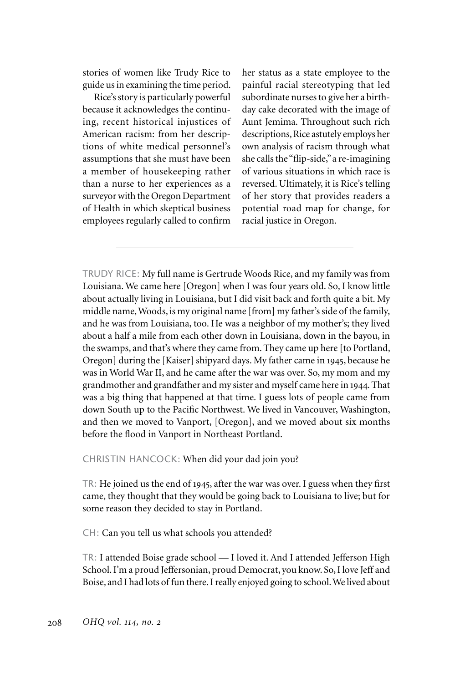stories of women like Trudy Rice to guide us in examining the time period.

Rice's story is particularly powerful because it acknowledges the continuing, recent historical injustices of American racism: from her descriptions of white medical personnel's assumptions that she must have been a member of housekeeping rather than a nurse to her experiences as a surveyor with the Oregon Department of Health in which skeptical business employees regularly called to confirm her status as a state employee to the painful racial stereotyping that led subordinate nurses to give her a birthday cake decorated with the image of Aunt Jemima. Throughout such rich descriptions, Rice astutely employs her own analysis of racism through what she calls the "flip-side," a re-imagining of various situations in which race is reversed. Ultimately, it is Rice's telling of her story that provides readers a potential road map for change, for racial justice in Oregon.

TRUDY RICE: My full name is Gertrude Woods Rice, and my family was from Louisiana. We came here [Oregon] when I was four years old. So, I know little about actually living in Louisiana, but I did visit back and forth quite a bit. My middle name, Woods, is my original name [from] my father's side of the family, and he was from Louisiana, too. He was a neighbor of my mother's; they lived about a half a mile from each other down in Louisiana, down in the bayou, in the swamps, and that's where they came from. They came up here [to Portland, Oregon] during the [Kaiser] shipyard days. My father came in 1945, because he was in World War II, and he came after the war was over. So, my mom and my grandmother and grandfather and my sister and myself came here in 1944. That was a big thing that happened at that time. I guess lots of people came from down South up to the Pacific Northwest. We lived in Vancouver, Washington, and then we moved to Vanport, [Oregon], and we moved about six months before the flood in Vanport in Northeast Portland.

CHRISTIN HANCOCK: When did your dad join you?

TR: He joined us the end of 1945, after the war was over. I guess when they first came, they thought that they would be going back to Louisiana to live; but for some reason they decided to stay in Portland.

CH: Can you tell us what schools you attended?

TR: I attended Boise grade school — I loved it. And I attended Jefferson High School. I'm a proud Jeffersonian, proud Democrat, you know. So, I love Jeff and Boise, and I had lots of fun there. I really enjoyed going to school. We lived about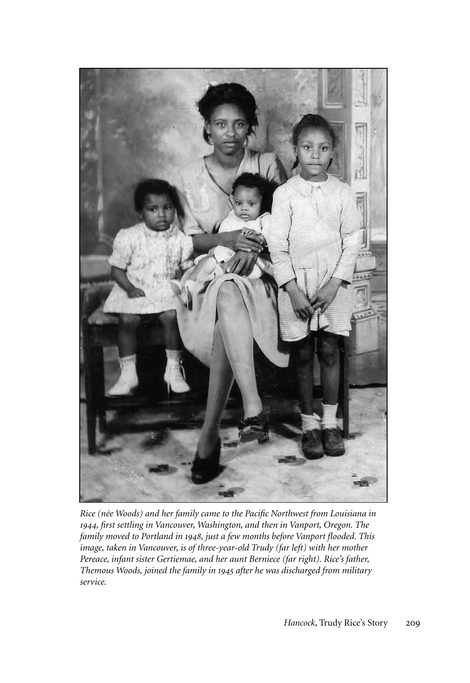

*Rice (née Woods) and her family came to the Pacific Northwest from Louisiana in 1944, first settling in Vancouver, Washington, and then in Vanport, Oregon. The family moved to Portland in 1948, just a few months before Vanport flooded. This image, taken in Vancouver, is of three-year-old Trudy (far left) with her mother Pereace, infant sister Gertiemae, and her aunt Berniece (far right). Rice's father, Themous Woods, joined the family in 1945 after he was discharged from military service.*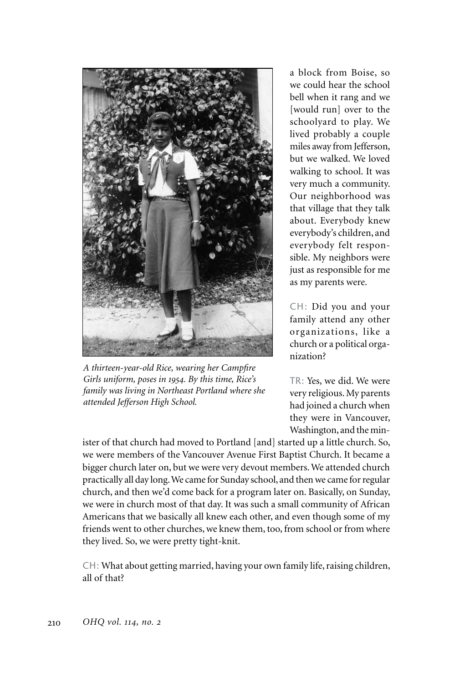

*A thirteen-year-old Rice, wearing her Campfire Girls uniform, poses in 1954. By this time, Rice's family was living in Northeast Portland where she attended Jefferson High School.* 

a block from Boise, so we could hear the school bell when it rang and we [would run] over to the schoolyard to play. We lived probably a couple miles away from Jefferson, but we walked. We loved walking to school. It was very much a community. Our neighborhood was that village that they talk about. Everybody knew everybody's children, and everybody felt responsible. My neighbors were just as responsible for me as my parents were.

CH: Did you and your family attend any other organizations, like a church or a political organization?

TR: Yes, we did. We were very religious. My parents had joined a church when they were in Vancouver, Washington, and the min-

ister of that church had moved to Portland [and] started up a little church. So, we were members of the Vancouver Avenue First Baptist Church. It became a bigger church later on, but we were very devout members. We attended church practically all day long. We came for Sunday school, and then we came for regular church, and then we'd come back for a program later on. Basically, on Sunday, we were in church most of that day. It was such a small community of African Americans that we basically all knew each other, and even though some of my friends went to other churches, we knew them, too, from school or from where they lived. So, we were pretty tight-knit.

CH: What about getting married, having your own family life, raising children, all of that?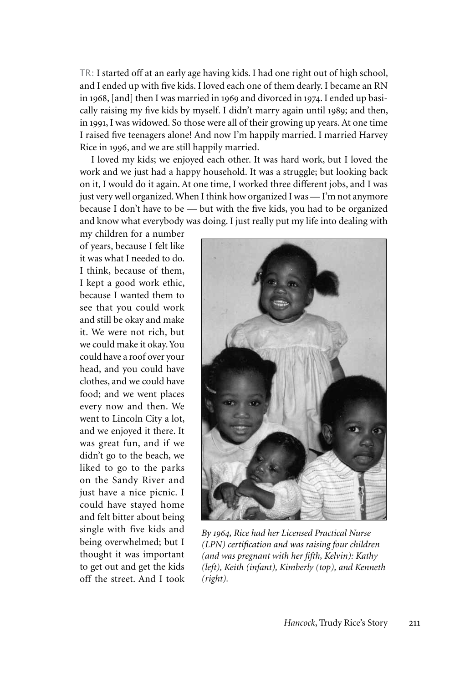TR: I started off at an early age having kids. I had one right out of high school, and I ended up with five kids. I loved each one of them dearly. I became an RN in 1968, [and] then I was married in 1969 and divorced in 1974. I ended up basically raising my five kids by myself. I didn't marry again until 1989; and then, in 1991, I was widowed. So those were all of their growing up years. At one time I raised five teenagers alone! And now I'm happily married. I married Harvey Rice in 1996, and we are still happily married.

I loved my kids; we enjoyed each other. It was hard work, but I loved the work and we just had a happy household. It was a struggle; but looking back on it, I would do it again. At one time, I worked three different jobs, and I was just very well organized. When I think how organized I was — I'm not anymore because I don't have to be — but with the five kids, you had to be organized and know what everybody was doing. I just really put my life into dealing with

my children for a number of years, because I felt like it was what I needed to do. I think, because of them, I kept a good work ethic, because I wanted them to see that you could work and still be okay and make it. We were not rich, but we could make it okay. You could have a roof over your head, and you could have clothes, and we could have food; and we went places every now and then. We went to Lincoln City a lot, and we enjoyed it there. It was great fun, and if we didn't go to the beach, we liked to go to the parks on the Sandy River and just have a nice picnic. I could have stayed home and felt bitter about being single with five kids and being overwhelmed; but I thought it was important to get out and get the kids off the street. And I took



*By 1964, Rice had her Licensed Practical Nurse (LPN) certification and was raising four children (and was pregnant with her fifth, Kelvin): Kathy (left), Keith (infant), Kimberly (top), and Kenneth (right).*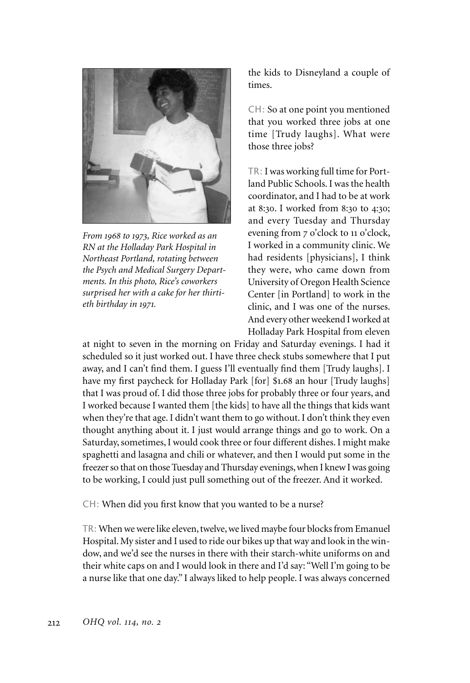

*From 1968 to 1973, Rice worked as an RN at the Holladay Park Hospital in Northeast Portland, rotating between the Psych and Medical Surgery Departments. In this photo, Rice's coworkers surprised her with a cake for her thirtieth birthday in 1971.* 

the kids to Disneyland a couple of times.

CH: So at one point you mentioned that you worked three jobs at one time [Trudy laughs]. What were those three jobs?

TR: I was working full time for Portland Public Schools. I was the health coordinator, and I had to be at work at 8:30. I worked from 8:30 to 4:30; and every Tuesday and Thursday evening from 7 o'clock to 11 o'clock, I worked in a community clinic. We had residents [physicians], I think they were, who came down from University of Oregon Health Science Center [in Portland] to work in the clinic, and I was one of the nurses. And every other weekend I worked at Holladay Park Hospital from eleven

at night to seven in the morning on Friday and Saturday evenings. I had it scheduled so it just worked out. I have three check stubs somewhere that I put away, and I can't find them. I guess I'll eventually find them [Trudy laughs]. I have my first paycheck for Holladay Park [for] \$1.68 an hour [Trudy laughs] that I was proud of. I did those three jobs for probably three or four years, and I worked because I wanted them [the kids] to have all the things that kids want when they're that age. I didn't want them to go without. I don't think they even thought anything about it. I just would arrange things and go to work. On a Saturday, sometimes, I would cook three or four different dishes. I might make spaghetti and lasagna and chili or whatever, and then I would put some in the freezer so that on those Tuesday and Thursday evenings, when I knew I was going to be working, I could just pull something out of the freezer. And it worked.

CH: When did you first know that you wanted to be a nurse?

TR: When we were like eleven, twelve, we lived maybe four blocks from Emanuel Hospital. My sister and I used to ride our bikes up that way and look in the window, and we'd see the nurses in there with their starch-white uniforms on and their white caps on and I would look in there and I'd say: "Well I'm going to be a nurse like that one day." I always liked to help people. I was always concerned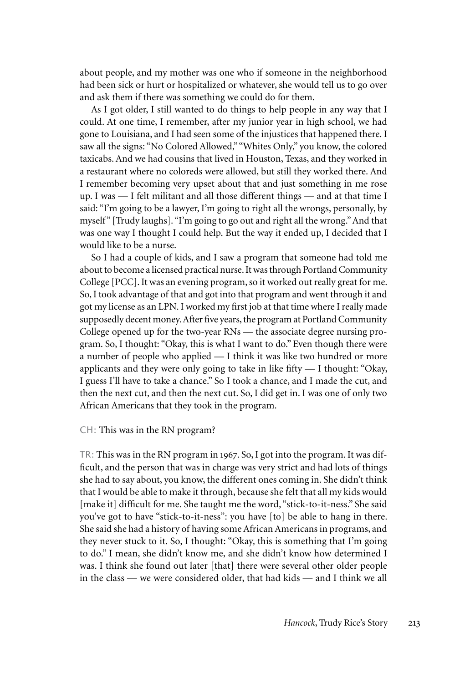about people, and my mother was one who if someone in the neighborhood had been sick or hurt or hospitalized or whatever, she would tell us to go over and ask them if there was something we could do for them.

As I got older, I still wanted to do things to help people in any way that I could. At one time, I remember, after my junior year in high school, we had gone to Louisiana, and I had seen some of the injustices that happened there. I saw all the signs: "No Colored Allowed," "Whites Only," you know, the colored taxicabs. And we had cousins that lived in Houston, Texas, and they worked in a restaurant where no coloreds were allowed, but still they worked there. And I remember becoming very upset about that and just something in me rose up. I was — I felt militant and all those different things — and at that time I said: "I'm going to be a lawyer, I'm going to right all the wrongs, personally, by myself" [Trudy laughs]. "I'm going to go out and right all the wrong." And that was one way I thought I could help. But the way it ended up, I decided that I would like to be a nurse.

So I had a couple of kids, and I saw a program that someone had told me about to become a licensed practical nurse. It was through Portland Community College [PCC]. It was an evening program, so it worked out really great for me. So, I took advantage of that and got into that program and went through it and got my license as an LPN. I worked my first job at that time where I really made supposedly decent money. After five years, the program at Portland Community College opened up for the two-year RNs — the associate degree nursing program. So, I thought: "Okay, this is what I want to do." Even though there were a number of people who applied — I think it was like two hundred or more applicants and they were only going to take in like fifty — I thought: "Okay, I guess I'll have to take a chance." So I took a chance, and I made the cut, and then the next cut, and then the next cut. So, I did get in. I was one of only two African Americans that they took in the program.

#### CH: This was in the RN program?

TR: This was in the RN program in 1967. So, I got into the program. It was difficult, and the person that was in charge was very strict and had lots of things she had to say about, you know, the different ones coming in. She didn't think that I would be able to make it through, because she felt that all my kids would [make it] difficult for me. She taught me the word, "stick-to-it-ness." She said you've got to have "stick-to-it-ness": you have [to] be able to hang in there. She said she had a history of having some African Americans in programs, and they never stuck to it. So, I thought: "Okay, this is something that I'm going to do." I mean, she didn't know me, and she didn't know how determined I was. I think she found out later [that] there were several other older people in the class — we were considered older, that had kids — and I think we all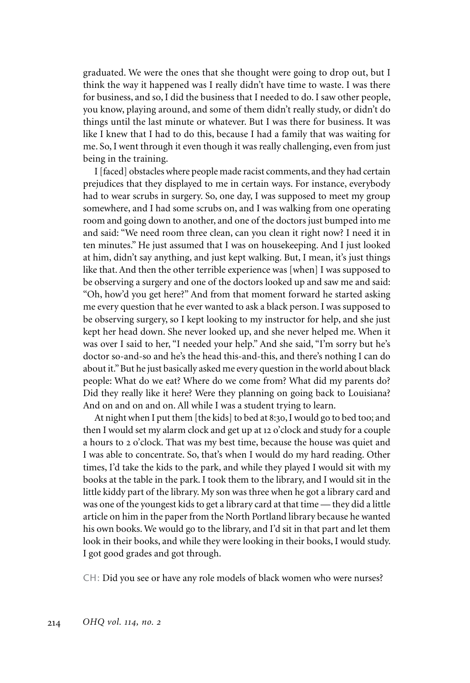graduated. We were the ones that she thought were going to drop out, but I think the way it happened was I really didn't have time to waste. I was there for business, and so, I did the business that I needed to do. I saw other people, you know, playing around, and some of them didn't really study, or didn't do things until the last minute or whatever. But I was there for business. It was like I knew that I had to do this, because I had a family that was waiting for me. So, I went through it even though it was really challenging, even from just being in the training.

I [faced] obstacles where people made racist comments, and they had certain prejudices that they displayed to me in certain ways. For instance, everybody had to wear scrubs in surgery. So, one day, I was supposed to meet my group somewhere, and I had some scrubs on, and I was walking from one operating room and going down to another, and one of the doctors just bumped into me and said: "We need room three clean, can you clean it right now? I need it in ten minutes." He just assumed that I was on housekeeping. And I just looked at him, didn't say anything, and just kept walking. But, I mean, it's just things like that. And then the other terrible experience was [when] I was supposed to be observing a surgery and one of the doctors looked up and saw me and said: "Oh, how'd you get here?" And from that moment forward he started asking me every question that he ever wanted to ask a black person. I was supposed to be observing surgery, so I kept looking to my instructor for help, and she just kept her head down. She never looked up, and she never helped me. When it was over I said to her, "I needed your help." And she said, "I'm sorry but he's doctor so-and-so and he's the head this-and-this, and there's nothing I can do about it." But he just basically asked me every question in the world about black people: What do we eat? Where do we come from? What did my parents do? Did they really like it here? Were they planning on going back to Louisiana? And on and on and on. All while I was a student trying to learn.

At night when I put them [the kids] to bed at 8:30, I would go to bed too; and then I would set my alarm clock and get up at 12 o'clock and study for a couple a hours to 2 o'clock. That was my best time, because the house was quiet and I was able to concentrate. So, that's when I would do my hard reading. Other times, I'd take the kids to the park, and while they played I would sit with my books at the table in the park. I took them to the library, and I would sit in the little kiddy part of the library. My son was three when he got a library card and was one of the youngest kids to get a library card at that time — they did a little article on him in the paper from the North Portland library because he wanted his own books. We would go to the library, and I'd sit in that part and let them look in their books, and while they were looking in their books, I would study. I got good grades and got through.

CH: Did you see or have any role models of black women who were nurses?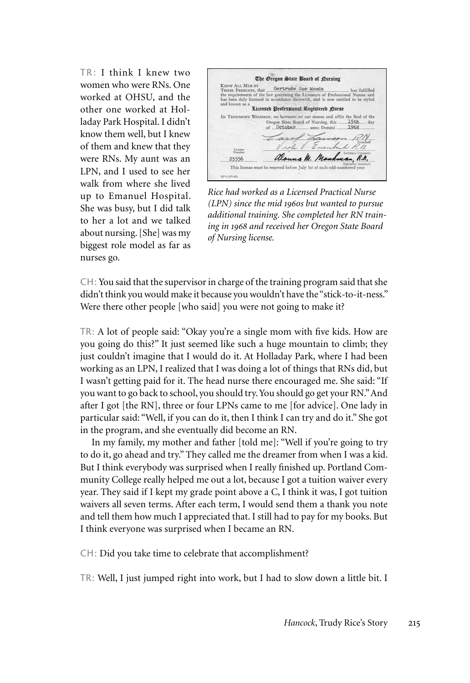TR: I think I knew two women who were RNs. One worked at OHSU, and the other one worked at Holladay Park Hospital. I didn't know them well, but I knew of them and knew that they were RNs. My aunt was an LPN, and I used to see her walk from where she lived up to Emanuel Hospital. She was busy, but I did talk to her a lot and we talked about nursing. [She] was my biggest role model as far as nurses go.

| <b>KNOW ALL MEN BY</b><br>THESE PRESENTS, that | Gertrude Sue Woods<br>has fulfilled                                                                                                                                |
|------------------------------------------------|--------------------------------------------------------------------------------------------------------------------------------------------------------------------|
| and known as a                                 | the requirements of the law governing the Licensure of Professional Nurses and<br>has been duly licensed in accordance therewith, and is now entitled to be styled |
|                                                | Licensed Professional Registered Quese                                                                                                                             |
|                                                | IN TESTIMONY WITHROUT, we hereunto set our names and affix the Seal of the<br>of October anno Domini 1968                                                          |
| Livens                                         |                                                                                                                                                                    |
| Number                                         | alanna M. Manhman, R.M.                                                                                                                                            |

*Rice had worked as a Licensed Practical Nurse (LPN) since the mid 1960s but wanted to pursue additional training. She completed her RN training in 1968 and received her Oregon State Board of Nursing license.*

CH: You said that the supervisor in charge of the training program said that she didn't think you would make it because you wouldn't have the "stick-to-it-ness." Were there other people [who said] you were not going to make it?

TR: A lot of people said: "Okay you're a single mom with five kids. How are you going do this?" It just seemed like such a huge mountain to climb; they just couldn't imagine that I would do it. At Holladay Park, where I had been working as an LPN, I realized that I was doing a lot of things that RNs did, but I wasn't getting paid for it. The head nurse there encouraged me. She said: "If you want to go back to school, you should try. You should go get your RN." And after I got [the RN], three or four LPNs came to me [for advice]. One lady in particular said: "Well, if you can do it, then I think I can try and do it." She got in the program, and she eventually did become an RN.

In my family, my mother and father [told me]: "Well if you're going to try to do it, go ahead and try." They called me the dreamer from when I was a kid. But I think everybody was surprised when I really finished up. Portland Community College really helped me out a lot, because I got a tuition waiver every year. They said if I kept my grade point above a C, I think it was, I got tuition waivers all seven terms. After each term, I would send them a thank you note and tell them how much I appreciated that. I still had to pay for my books. But I think everyone was surprised when I became an RN.

CH: Did you take time to celebrate that accomplishment?

TR: Well, I just jumped right into work, but I had to slow down a little bit. I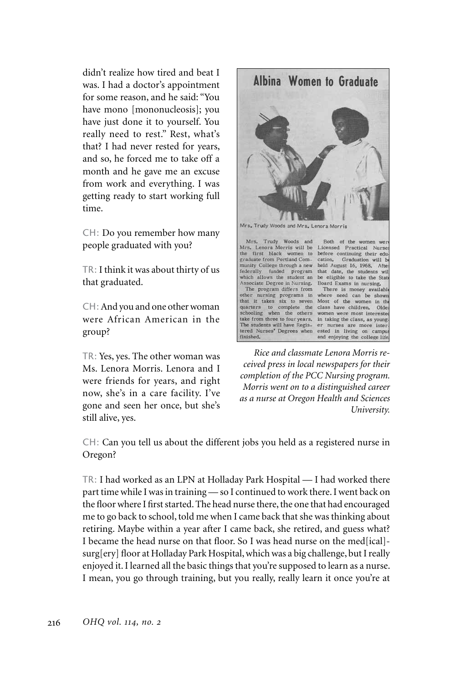didn't realize how tired and beat I was. I had a doctor's appointment for some reason, and he said: "You have mono [mononucleosis]; you have just done it to yourself. You really need to rest." Rest, what's that? I had never rested for years, and so, he forced me to take off a month and he gave me an excuse from work and everything. I was getting ready to start working full time.

CH: Do you remember how many people graduated with you?

TR: I think it was about thirty of us that graduated.

CH: And you and one other woman were African American in the group?

TR: Yes, yes. The other woman was Ms. Lenora Morris. Lenora and I were friends for years, and right now, she's in a care facility. I've gone and seen her once, but she's still alive, yes.



*Rice and classmate Lenora Morris received press in local newspapers for their completion of the PCC Nursing program. Morris went on to a distinguished career as a nurse at Oregon Health and Sciences University.* 

CH: Can you tell us about the different jobs you held as a registered nurse in Oregon?

TR: I had worked as an LPN at Holladay Park Hospital — I had worked there part time while I was in training — so I continued to work there. I went back on the floor where I first started. The head nurse there, the one that had encouraged me to go back to school, told me when I came back that she was thinking about retiring. Maybe within a year after I came back, she retired, and guess what? I became the head nurse on that floor. So I was head nurse on the med[ical] surg[ery] floor at Holladay Park Hospital, which was a big challenge, but I really enjoyed it. I learned all the basic things that you're supposed to learn as a nurse. I mean, you go through training, but you really, really learn it once you're at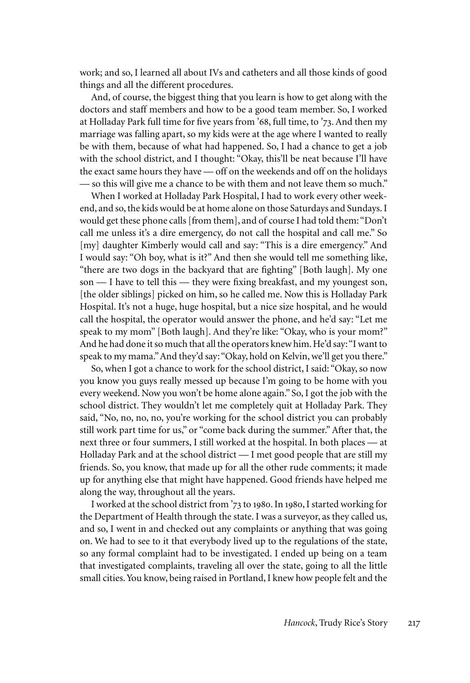work; and so, I learned all about IVs and catheters and all those kinds of good things and all the different procedures.

And, of course, the biggest thing that you learn is how to get along with the doctors and staff members and how to be a good team member. So, I worked at Holladay Park full time for five years from '68, full time, to '73. And then my marriage was falling apart, so my kids were at the age where I wanted to really be with them, because of what had happened. So, I had a chance to get a job with the school district, and I thought: "Okay, this'll be neat because I'll have the exact same hours they have — off on the weekends and off on the holidays — so this will give me a chance to be with them and not leave them so much."

When I worked at Holladay Park Hospital, I had to work every other weekend, and so, the kids would be at home alone on those Saturdays and Sundays. I would get these phone calls [from them], and of course I had told them: "Don't call me unless it's a dire emergency, do not call the hospital and call me." So [my] daughter Kimberly would call and say: "This is a dire emergency." And I would say: "Oh boy, what is it?" And then she would tell me something like, "there are two dogs in the backyard that are fighting" [Both laugh]. My one son — I have to tell this — they were fixing breakfast, and my youngest son, [the older siblings] picked on him, so he called me. Now this is Holladay Park Hospital. It's not a huge, huge hospital, but a nice size hospital, and he would call the hospital, the operator would answer the phone, and he'd say: "Let me speak to my mom" [Both laugh]. And they're like: "Okay, who is your mom?" And he had done it so much that all the operators knew him. He'd say: "I want to speak to my mama." And they'd say: "Okay, hold on Kelvin, we'll get you there."

So, when I got a chance to work for the school district, I said: "Okay, so now you know you guys really messed up because I'm going to be home with you every weekend. Now you won't be home alone again." So, I got the job with the school district. They wouldn't let me completely quit at Holladay Park. They said, "No, no, no, no, you're working for the school district you can probably still work part time for us," or "come back during the summer." After that, the next three or four summers, I still worked at the hospital. In both places — at Holladay Park and at the school district — I met good people that are still my friends. So, you know, that made up for all the other rude comments; it made up for anything else that might have happened. Good friends have helped me along the way, throughout all the years.

I worked at the school district from '73 to 1980. In 1980, I started working for the Department of Health through the state. I was a surveyor, as they called us, and so, I went in and checked out any complaints or anything that was going on. We had to see to it that everybody lived up to the regulations of the state, so any formal complaint had to be investigated. I ended up being on a team that investigated complaints, traveling all over the state, going to all the little small cities. You know, being raised in Portland, I knew how people felt and the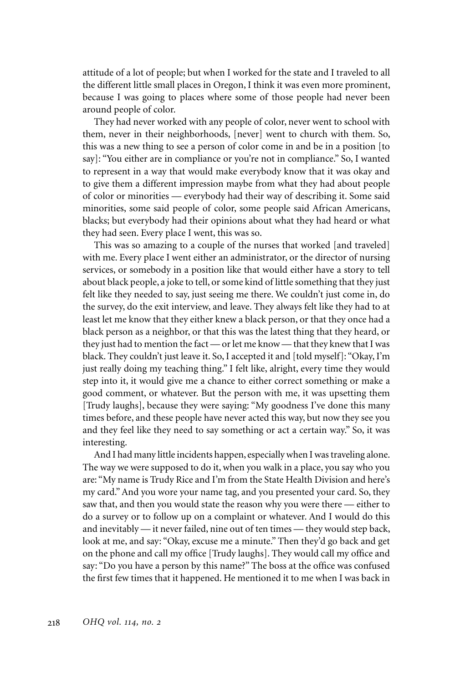attitude of a lot of people; but when I worked for the state and I traveled to all the different little small places in Oregon, I think it was even more prominent, because I was going to places where some of those people had never been around people of color.

They had never worked with any people of color, never went to school with them, never in their neighborhoods, [never] went to church with them. So, this was a new thing to see a person of color come in and be in a position [to say]: "You either are in compliance or you're not in compliance." So, I wanted to represent in a way that would make everybody know that it was okay and to give them a different impression maybe from what they had about people of color or minorities — everybody had their way of describing it. Some said minorities, some said people of color, some people said African Americans, blacks; but everybody had their opinions about what they had heard or what they had seen. Every place I went, this was so.

This was so amazing to a couple of the nurses that worked [and traveled] with me. Every place I went either an administrator, or the director of nursing services, or somebody in a position like that would either have a story to tell about black people, a joke to tell, or some kind of little something that they just felt like they needed to say, just seeing me there. We couldn't just come in, do the survey, do the exit interview, and leave. They always felt like they had to at least let me know that they either knew a black person, or that they once had a black person as a neighbor, or that this was the latest thing that they heard, or they just had to mention the fact — or let me know — that they knew that I was black. They couldn't just leave it. So, I accepted it and [told myself]: "Okay, I'm just really doing my teaching thing." I felt like, alright, every time they would step into it, it would give me a chance to either correct something or make a good comment, or whatever. But the person with me, it was upsetting them [Trudy laughs], because they were saying: "My goodness I've done this many times before, and these people have never acted this way, but now they see you and they feel like they need to say something or act a certain way." So, it was interesting.

And I had many little incidents happen, especially when I was traveling alone. The way we were supposed to do it, when you walk in a place, you say who you are: "My name is Trudy Rice and I'm from the State Health Division and here's my card." And you wore your name tag, and you presented your card. So, they saw that, and then you would state the reason why you were there — either to do a survey or to follow up on a complaint or whatever. And I would do this and inevitably — it never failed, nine out of ten times — they would step back, look at me, and say: "Okay, excuse me a minute." Then they'd go back and get on the phone and call my office [Trudy laughs]. They would call my office and say: "Do you have a person by this name?" The boss at the office was confused the first few times that it happened. He mentioned it to me when I was back in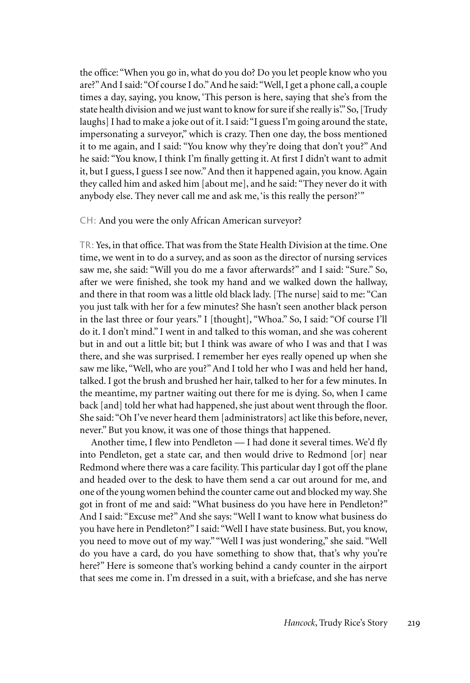the office: "When you go in, what do you do? Do you let people know who you are?" And I said: "Of course I do." And he said: "Well, I get a phone call, a couple times a day, saying, you know, 'This person is here, saying that she's from the state health division and we just want to know for sure if she really is'." So, [Trudy laughs] I had to make a joke out of it. I said: "I guess I'm going around the state, impersonating a surveyor," which is crazy. Then one day, the boss mentioned it to me again, and I said: "You know why they're doing that don't you?" And he said: "You know, I think I'm finally getting it. At first I didn't want to admit it, but I guess, I guess I see now." And then it happened again, you know. Again they called him and asked him [about me], and he said: "They never do it with anybody else. They never call me and ask me, 'is this really the person?'"

## CH: And you were the only African American surveyor?

TR: Yes, in that office. That was from the State Health Division at the time. One time, we went in to do a survey, and as soon as the director of nursing services saw me, she said: "Will you do me a favor afterwards?" and I said: "Sure." So, after we were finished, she took my hand and we walked down the hallway, and there in that room was a little old black lady. [The nurse] said to me: "Can you just talk with her for a few minutes? She hasn't seen another black person in the last three or four years." I [thought], "Whoa." So, I said: "Of course I'll do it. I don't mind." I went in and talked to this woman, and she was coherent but in and out a little bit; but I think was aware of who I was and that I was there, and she was surprised. I remember her eyes really opened up when she saw me like, "Well, who are you?" And I told her who I was and held her hand, talked. I got the brush and brushed her hair, talked to her for a few minutes. In the meantime, my partner waiting out there for me is dying. So, when I came back [and] told her what had happened, she just about went through the floor. She said: "Oh I've never heard them [administrators] act like this before, never, never." But you know, it was one of those things that happened.

Another time, I flew into Pendleton — I had done it several times. We'd fly into Pendleton, get a state car, and then would drive to Redmond [or] near Redmond where there was a care facility. This particular day I got off the plane and headed over to the desk to have them send a car out around for me, and one of the young women behind the counter came out and blocked my way. She got in front of me and said: "What business do you have here in Pendleton?" And I said: "Excuse me?" And she says: "Well I want to know what business do you have here in Pendleton?" I said: "Well I have state business. But, you know, you need to move out of my way." "Well I was just wondering," she said. "Well do you have a card, do you have something to show that, that's why you're here?" Here is someone that's working behind a candy counter in the airport that sees me come in. I'm dressed in a suit, with a briefcase, and she has nerve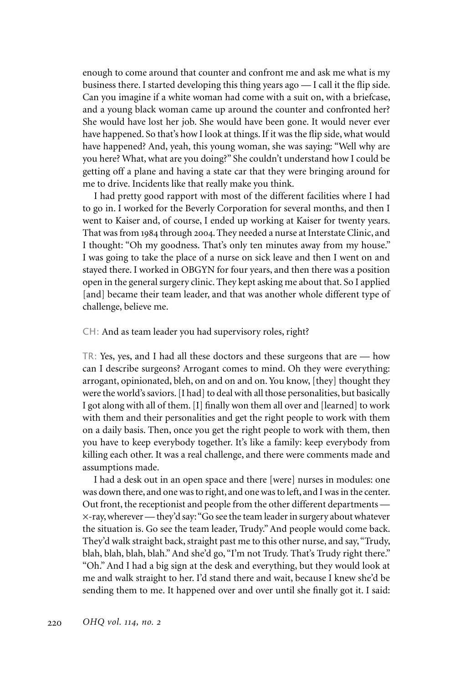enough to come around that counter and confront me and ask me what is my business there. I started developing this thing years ago — I call it the flip side. Can you imagine if a white woman had come with a suit on, with a briefcase, and a young black woman came up around the counter and confronted her? She would have lost her job. She would have been gone. It would never ever have happened. So that's how I look at things. If it was the flip side, what would have happened? And, yeah, this young woman, she was saying: "Well why are you here? What, what are you doing?" She couldn't understand how I could be getting off a plane and having a state car that they were bringing around for me to drive. Incidents like that really make you think.

I had pretty good rapport with most of the different facilities where I had to go in. I worked for the Beverly Corporation for several months, and then I went to Kaiser and, of course, I ended up working at Kaiser for twenty years. That was from 1984 through 2004. They needed a nurse at Interstate Clinic, and I thought: "Oh my goodness. That's only ten minutes away from my house." I was going to take the place of a nurse on sick leave and then I went on and stayed there. I worked in OBGYN for four years, and then there was a position open in the general surgery clinic. They kept asking me about that. So I applied [and] became their team leader, and that was another whole different type of challenge, believe me.

#### CH: And as team leader you had supervisory roles, right?

TR: Yes, yes, and I had all these doctors and these surgeons that are — how can I describe surgeons? Arrogant comes to mind. Oh they were everything: arrogant, opinionated, bleh, on and on and on. You know, [they] thought they were the world's saviors. [I had] to deal with all those personalities, but basically I got along with all of them. [I] finally won them all over and [learned] to work with them and their personalities and get the right people to work with them on a daily basis. Then, once you get the right people to work with them, then you have to keep everybody together. It's like a family: keep everybody from killing each other. It was a real challenge, and there were comments made and assumptions made.

I had a desk out in an open space and there [were] nurses in modules: one was down there, and one was to right, and one was to left, and I was in the center. Out front, the receptionist and people from the other different departments — ×-ray, wherever — they'd say: "Go see the team leader in surgery about whatever the situation is. Go see the team leader, Trudy." And people would come back. They'd walk straight back, straight past me to this other nurse, and say, "Trudy, blah, blah, blah, blah." And she'd go, "I'm not Trudy. That's Trudy right there." "Oh." And I had a big sign at the desk and everything, but they would look at me and walk straight to her. I'd stand there and wait, because I knew she'd be sending them to me. It happened over and over until she finally got it. I said: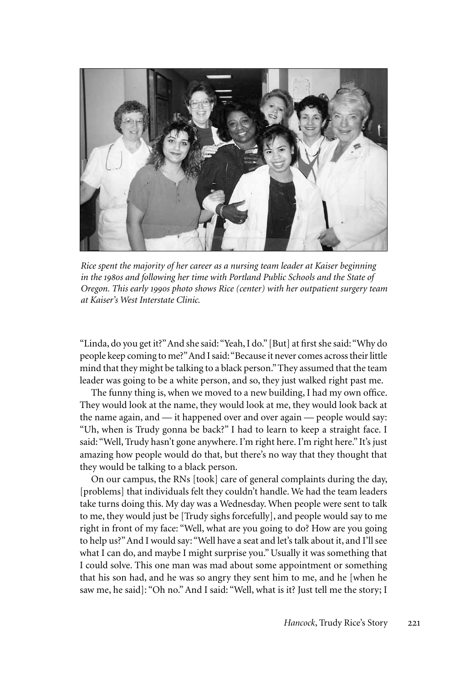

*Rice spent the majority of her career as a nursing team leader at Kaiser beginning in the 1980s and following her time with Portland Public Schools and the State of Oregon. This early 1990s photo shows Rice (center) with her outpatient surgery team at Kaiser's West Interstate Clinic.* 

"Linda, do you get it?" And she said: "Yeah, I do." [But] at first she said: "Why do people keep coming to me?" And I said: "Because it never comes across their little mind that they might be talking to a black person." They assumed that the team leader was going to be a white person, and so, they just walked right past me.

The funny thing is, when we moved to a new building, I had my own office. They would look at the name, they would look at me, they would look back at the name again, and — it happened over and over again — people would say: "Uh, when is Trudy gonna be back?" I had to learn to keep a straight face. I said: "Well, Trudy hasn't gone anywhere. I'm right here. I'm right here." It's just amazing how people would do that, but there's no way that they thought that they would be talking to a black person.

On our campus, the RNs [took] care of general complaints during the day, [problems] that individuals felt they couldn't handle. We had the team leaders take turns doing this. My day was a Wednesday. When people were sent to talk to me, they would just be [Trudy sighs forcefully], and people would say to me right in front of my face: "Well, what are you going to do? How are you going to help us?" And I would say: "Well have a seat and let's talk about it, and I'll see what I can do, and maybe I might surprise you." Usually it was something that I could solve. This one man was mad about some appointment or something that his son had, and he was so angry they sent him to me, and he [when he saw me, he said]: "Oh no." And I said: "Well, what is it? Just tell me the story; I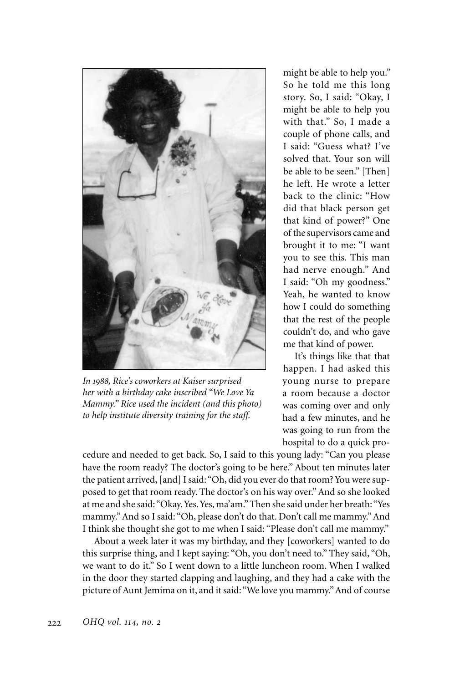

*In 1988, Rice's coworkers at Kaiser surprised her with a birthday cake inscribed "We Love Ya Mammy." Rice used the incident (and this photo) to help institute diversity training for the staff.* 

might be able to help you." So he told me this long story. So, I said: "Okay, I might be able to help you with that." So, I made a couple of phone calls, and I said: "Guess what? I've solved that. Your son will be able to be seen." [Then] he left. He wrote a letter back to the clinic: "How did that black person get that kind of power?" One of the supervisors came and brought it to me: "I want you to see this. This man had nerve enough." And I said: "Oh my goodness." Yeah, he wanted to know how I could do something that the rest of the people couldn't do, and who gave me that kind of power.

It's things like that that happen. I had asked this young nurse to prepare a room because a doctor was coming over and only had a few minutes, and he was going to run from the hospital to do a quick pro-

cedure and needed to get back. So, I said to this young lady: "Can you please have the room ready? The doctor's going to be here." About ten minutes later the patient arrived, [and] I said: "Oh, did you ever do that room? You were supposed to get that room ready. The doctor's on his way over." And so she looked at me and she said: "Okay. Yes. Yes, ma'am." Then she said under her breath: "Yes mammy." And so I said: "Oh, please don't do that. Don't call me mammy." And I think she thought she got to me when I said: "Please don't call me mammy."

About a week later it was my birthday, and they [coworkers] wanted to do this surprise thing, and I kept saying: "Oh, you don't need to." They said, "Oh, we want to do it." So I went down to a little luncheon room. When I walked in the door they started clapping and laughing, and they had a cake with the picture of Aunt Jemima on it, and it said: "We love you mammy." And of course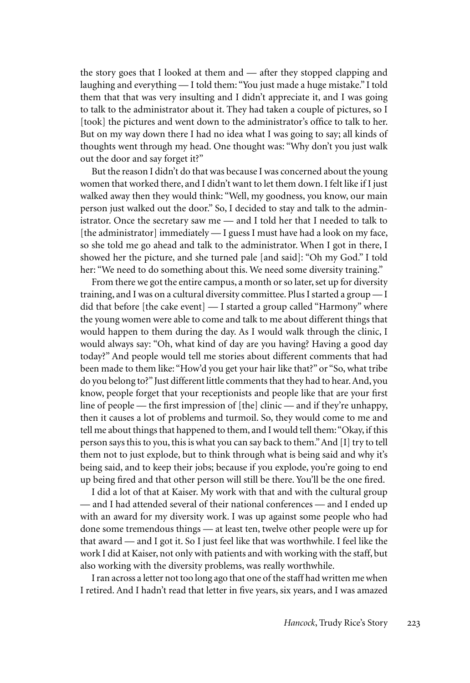the story goes that I looked at them and — after they stopped clapping and laughing and everything — I told them: "You just made a huge mistake." I told them that that was very insulting and I didn't appreciate it, and I was going to talk to the administrator about it. They had taken a couple of pictures, so I [took] the pictures and went down to the administrator's office to talk to her. But on my way down there I had no idea what I was going to say; all kinds of thoughts went through my head. One thought was: "Why don't you just walk out the door and say forget it?"

But the reason I didn't do that was because I was concerned about the young women that worked there, and I didn't want to let them down. I felt like if I just walked away then they would think: "Well, my goodness, you know, our main person just walked out the door." So, I decided to stay and talk to the administrator. Once the secretary saw me — and I told her that I needed to talk to [the administrator] immediately — I guess I must have had a look on my face, so she told me go ahead and talk to the administrator. When I got in there, I showed her the picture, and she turned pale [and said]: "Oh my God." I told her: "We need to do something about this. We need some diversity training."

From there we got the entire campus, a month or so later, set up for diversity training, and I was on a cultural diversity committee. Plus I started a group — I did that before [the cake event] — I started a group called "Harmony" where the young women were able to come and talk to me about different things that would happen to them during the day. As I would walk through the clinic, I would always say: "Oh, what kind of day are you having? Having a good day today?" And people would tell me stories about different comments that had been made to them like: "How'd you get your hair like that?" or "So, what tribe do you belong to?" Just different little comments that they had to hear. And, you know, people forget that your receptionists and people like that are your first line of people — the first impression of [the] clinic — and if they're unhappy, then it causes a lot of problems and turmoil. So, they would come to me and tell me about things that happened to them, and I would tell them: "Okay, if this person says this to you, this is what you can say back to them." And [I] try to tell them not to just explode, but to think through what is being said and why it's being said, and to keep their jobs; because if you explode, you're going to end up being fired and that other person will still be there. You'll be the one fired.

I did a lot of that at Kaiser. My work with that and with the cultural group — and I had attended several of their national conferences — and I ended up with an award for my diversity work. I was up against some people who had done some tremendous things — at least ten, twelve other people were up for that award — and I got it. So I just feel like that was worthwhile. I feel like the work I did at Kaiser, not only with patients and with working with the staff, but also working with the diversity problems, was really worthwhile.

I ran across a letter not too long ago that one of the staff had written me when I retired. And I hadn't read that letter in five years, six years, and I was amazed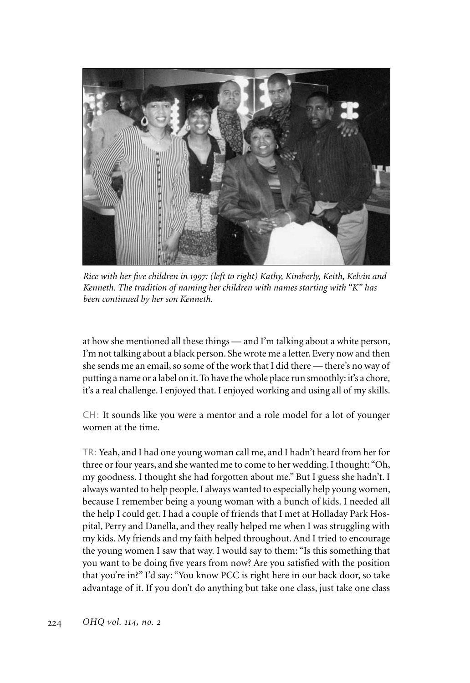

*Rice with her five children in 1997: (left to right) Kathy, Kimberly, Keith, Kelvin and Kenneth. The tradition of naming her children with names starting with "K" has been continued by her son Kenneth.* 

at how she mentioned all these things — and I'm talking about a white person, I'm not talking about a black person. She wrote me a letter. Every now and then she sends me an email, so some of the work that I did there — there's no way of putting a name or a label on it. To have the whole place run smoothly: it's a chore, it's a real challenge. I enjoyed that. I enjoyed working and using all of my skills.

CH: It sounds like you were a mentor and a role model for a lot of younger women at the time.

TR: Yeah, and I had one young woman call me, and I hadn't heard from her for three or four years, and she wanted me to come to her wedding. I thought: "Oh, my goodness. I thought she had forgotten about me." But I guess she hadn't. I always wanted to help people. I always wanted to especially help young women, because I remember being a young woman with a bunch of kids. I needed all the help I could get. I had a couple of friends that I met at Holladay Park Hospital, Perry and Danella, and they really helped me when I was struggling with my kids. My friends and my faith helped throughout. And I tried to encourage the young women I saw that way. I would say to them: "Is this something that you want to be doing five years from now? Are you satisfied with the position that you're in?" I'd say: "You know PCC is right here in our back door, so take advantage of it. If you don't do anything but take one class, just take one class